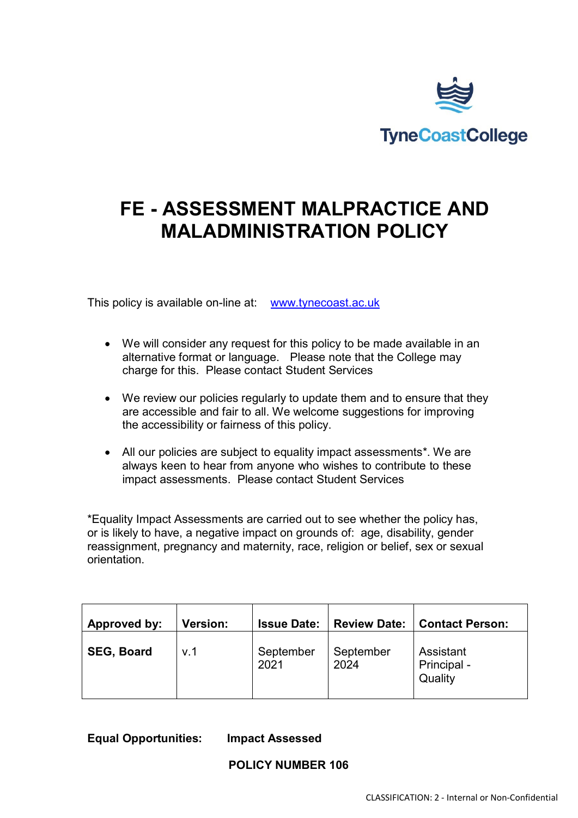

# **FE - ASSESSMENT MALPRACTICE AND MALADMINISTRATION POLICY**

This policy is available on-line at: [www.tynecoast.ac.uk](http://www.tynecoast.ac.uk/)

- We will consider any request for this policy to be made available in an alternative format or language. Please note that the College may charge for this. Please contact Student Services
- We review our policies regularly to update them and to ensure that they are accessible and fair to all. We welcome suggestions for improving the accessibility or fairness of this policy.
- All our policies are subject to equality impact assessments\*. We are always keen to hear from anyone who wishes to contribute to these impact assessments. Please contact Student Services

\*Equality Impact Assessments are carried out to see whether the policy has, or is likely to have, a negative impact on grounds of: age, disability, gender reassignment, pregnancy and maternity, race, religion or belief, sex or sexual orientation.

| Approved by:      | <b>Version:</b> | <b>Issue Date:</b> | <b>Review Date:</b> | <b>Contact Person:</b>              |
|-------------------|-----------------|--------------------|---------------------|-------------------------------------|
| <b>SEG, Board</b> | v.1             | September<br>2021  | September<br>2024   | Assistant<br>Principal -<br>Quality |

**Equal Opportunities: Impact Assessed**

**POLICY NUMBER 106**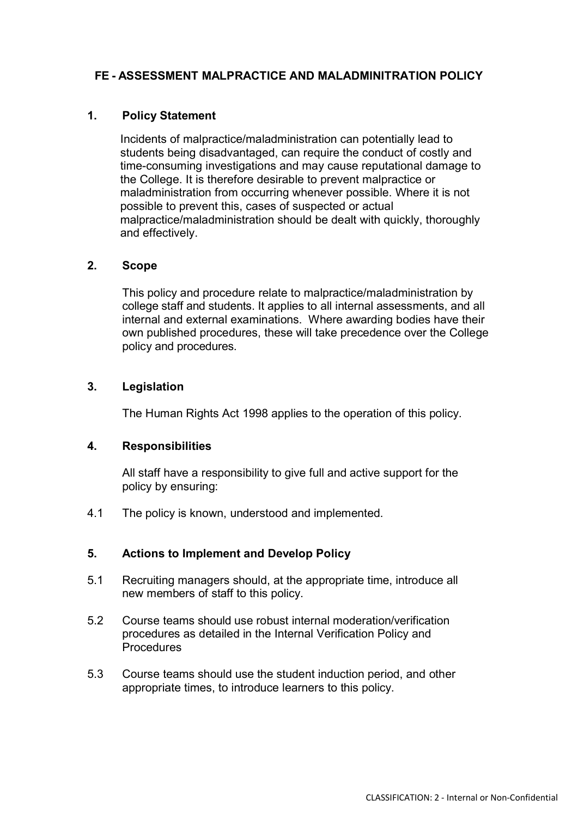## **FE - ASSESSMENT MALPRACTICE AND MALADMINITRATION POLICY**

#### **1. Policy Statement**

Incidents of malpractice/maladministration can potentially lead to students being disadvantaged, can require the conduct of costly and time-consuming investigations and may cause reputational damage to the College. It is therefore desirable to prevent malpractice or maladministration from occurring whenever possible. Where it is not possible to prevent this, cases of suspected or actual malpractice/maladministration should be dealt with quickly, thoroughly and effectively.

#### **2. Scope**

This policy and procedure relate to malpractice/maladministration by college staff and students. It applies to all internal assessments, and all internal and external examinations. Where awarding bodies have their own published procedures, these will take precedence over the College policy and procedures.

#### **3. Legislation**

The Human Rights Act 1998 applies to the operation of this policy.

#### **4. Responsibilities**

All staff have a responsibility to give full and active support for the policy by ensuring:

4.1 The policy is known, understood and implemented.

#### **5. Actions to Implement and Develop Policy**

- 5.1 Recruiting managers should, at the appropriate time, introduce all new members of staff to this policy.
- 5.2 Course teams should use robust internal moderation/verification procedures as detailed in the Internal Verification Policy and **Procedures**
- 5.3 Course teams should use the student induction period, and other appropriate times, to introduce learners to this policy.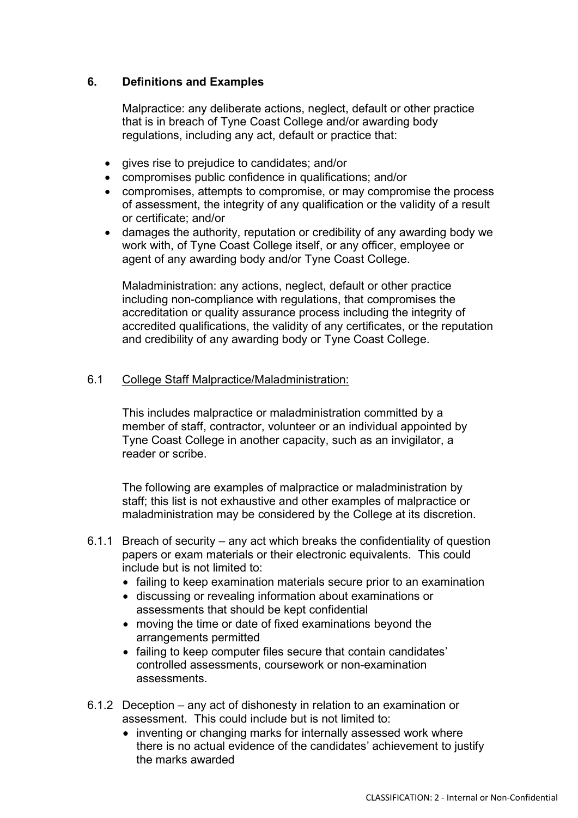## **6. Definitions and Examples**

Malpractice: any deliberate actions, neglect, default or other practice that is in breach of Tyne Coast College and/or awarding body regulations, including any act, default or practice that:

- gives rise to prejudice to candidates; and/or
- compromises public confidence in qualifications; and/or
- compromises, attempts to compromise, or may compromise the process of assessment, the integrity of any qualification or the validity of a result or certificate; and/or
- damages the authority, reputation or credibility of any awarding body we work with, of Tyne Coast College itself, or any officer, employee or agent of any awarding body and/or Tyne Coast College.

Maladministration: any actions, neglect, default or other practice including non-compliance with regulations, that compromises the accreditation or quality assurance process including the integrity of accredited qualifications, the validity of any certificates, or the reputation and credibility of any awarding body or Tyne Coast College.

#### 6.1 College Staff Malpractice/Maladministration:

This includes malpractice or maladministration committed by a member of staff, contractor, volunteer or an individual appointed by Tyne Coast College in another capacity, such as an invigilator, a reader or scribe.

The following are examples of malpractice or maladministration by staff; this list is not exhaustive and other examples of malpractice or maladministration may be considered by the College at its discretion.

- 6.1.1 Breach of security any act which breaks the confidentiality of question papers or exam materials or their electronic equivalents. This could include but is not limited to:
	- failing to keep examination materials secure prior to an examination
	- discussing or revealing information about examinations or assessments that should be kept confidential
	- moving the time or date of fixed examinations beyond the arrangements permitted
	- failing to keep computer files secure that contain candidates' controlled assessments, coursework or non-examination assessments.
- 6.1.2 Deception any act of dishonesty in relation to an examination or assessment. This could include but is not limited to:
	- inventing or changing marks for internally assessed work where there is no actual evidence of the candidates' achievement to justify the marks awarded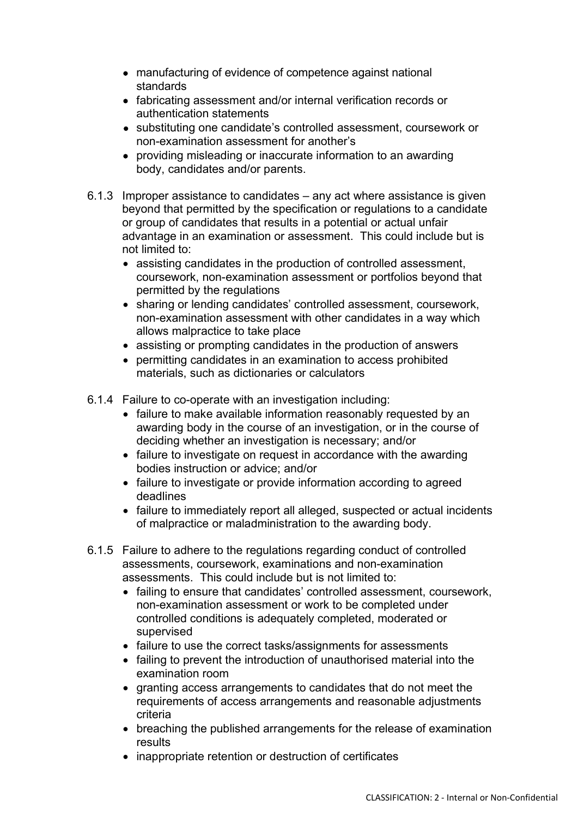- manufacturing of evidence of competence against national standards
- fabricating assessment and/or internal verification records or authentication statements
- substituting one candidate's controlled assessment, coursework or non-examination assessment for another's
- providing misleading or inaccurate information to an awarding body, candidates and/or parents.
- 6.1.3 Improper assistance to candidates any act where assistance is given beyond that permitted by the specification or regulations to a candidate or group of candidates that results in a potential or actual unfair advantage in an examination or assessment. This could include but is not limited to:
	- assisting candidates in the production of controlled assessment, coursework, non-examination assessment or portfolios beyond that permitted by the regulations
	- sharing or lending candidates' controlled assessment, coursework, non-examination assessment with other candidates in a way which allows malpractice to take place
	- assisting or prompting candidates in the production of answers
	- permitting candidates in an examination to access prohibited materials, such as dictionaries or calculators
- 6.1.4 Failure to co-operate with an investigation including:
	- failure to make available information reasonably requested by an awarding body in the course of an investigation, or in the course of deciding whether an investigation is necessary; and/or
	- failure to investigate on request in accordance with the awarding bodies instruction or advice; and/or
	- failure to investigate or provide information according to agreed deadlines
	- failure to immediately report all alleged, suspected or actual incidents of malpractice or maladministration to the awarding body.
- 6.1.5 Failure to adhere to the regulations regarding conduct of controlled assessments, coursework, examinations and non-examination assessments. This could include but is not limited to:
	- failing to ensure that candidates' controlled assessment, coursework, non-examination assessment or work to be completed under controlled conditions is adequately completed, moderated or supervised
	- failure to use the correct tasks/assignments for assessments
	- failing to prevent the introduction of unauthorised material into the examination room
	- granting access arrangements to candidates that do not meet the requirements of access arrangements and reasonable adjustments criteria
	- breaching the published arrangements for the release of examination results
	- inappropriate retention or destruction of certificates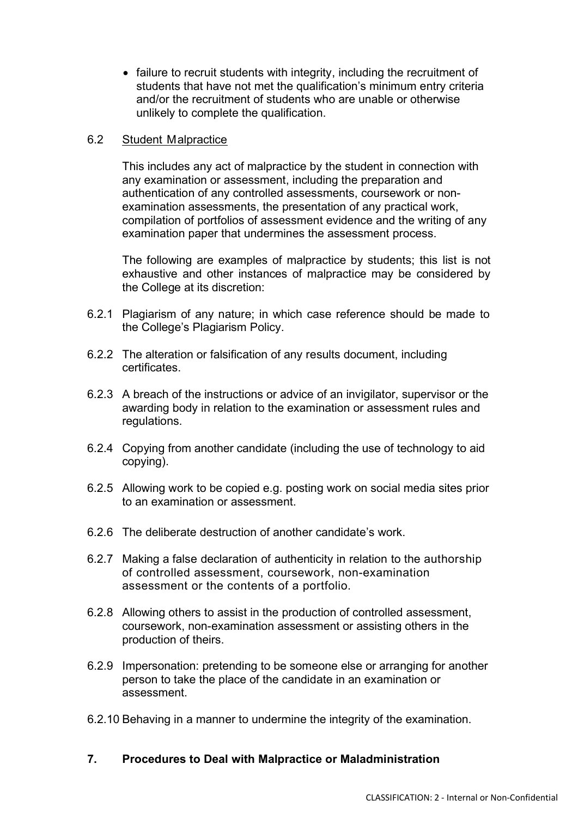• failure to recruit students with integrity, including the recruitment of students that have not met the qualification's minimum entry criteria and/or the recruitment of students who are unable or otherwise unlikely to complete the qualification.

### 6.2 Student Malpractice

This includes any act of malpractice by the student in connection with any examination or assessment, including the preparation and authentication of any controlled assessments, coursework or nonexamination assessments, the presentation of any practical work, compilation of portfolios of assessment evidence and the writing of any examination paper that undermines the assessment process.

The following are examples of malpractice by students; this list is not exhaustive and other instances of malpractice may be considered by the College at its discretion:

- 6.2.1 Plagiarism of any nature; in which case reference should be made to the College's Plagiarism Policy.
- 6.2.2 The alteration or falsification of any results document, including certificates.
- 6.2.3 A breach of the instructions or advice of an invigilator, supervisor or the awarding body in relation to the examination or assessment rules and regulations.
- 6.2.4 Copying from another candidate (including the use of technology to aid copying).
- 6.2.5 Allowing work to be copied e.g. posting work on social media sites prior to an examination or assessment.
- 6.2.6 The deliberate destruction of another candidate's work.
- 6.2.7 Making a false declaration of authenticity in relation to the authorship of controlled assessment, coursework, non-examination assessment or the contents of a portfolio.
- 6.2.8 Allowing others to assist in the production of controlled assessment, coursework, non-examination assessment or assisting others in the production of theirs.
- 6.2.9 Impersonation: pretending to be someone else or arranging for another person to take the place of the candidate in an examination or assessment.
- 6.2.10 Behaving in a manner to undermine the integrity of the examination.

# **7. Procedures to Deal with Malpractice or Maladministration**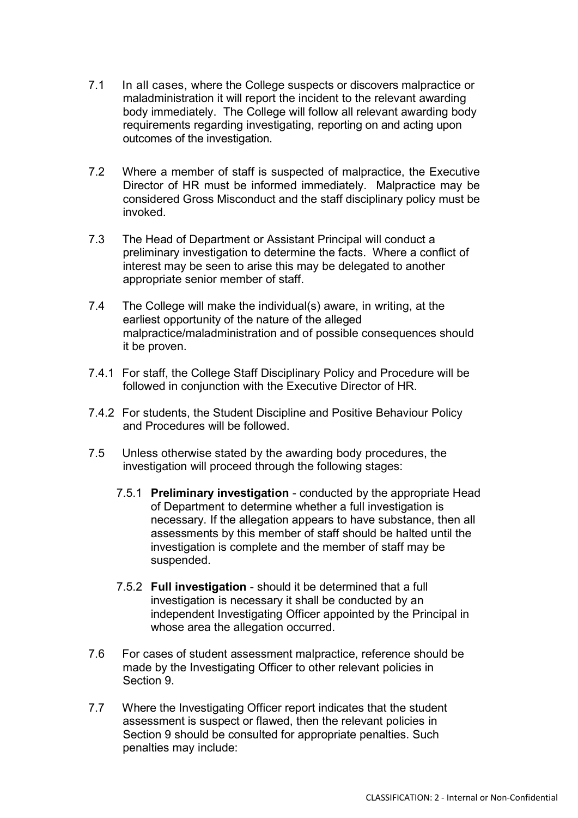- 7.1 In all cases, where the College suspects or discovers malpractice or maladministration it will report the incident to the relevant awarding body immediately. The College will follow all relevant awarding body requirements regarding investigating, reporting on and acting upon outcomes of the investigation.
- 7.2 Where a member of staff is suspected of malpractice, the Executive Director of HR must be informed immediately. Malpractice may be considered Gross Misconduct and the staff disciplinary policy must be invoked.
- 7.3 The Head of Department or Assistant Principal will conduct a preliminary investigation to determine the facts. Where a conflict of interest may be seen to arise this may be delegated to another appropriate senior member of staff.
- 7.4 The College will make the individual(s) aware, in writing, at the earliest opportunity of the nature of the alleged malpractice/maladministration and of possible consequences should it be proven.
- 7.4.1 For staff, the College Staff Disciplinary Policy and Procedure will be followed in conjunction with the Executive Director of HR.
- 7.4.2 For students, the Student Discipline and Positive Behaviour Policy and Procedures will be followed.
- 7.5 Unless otherwise stated by the awarding body procedures, the investigation will proceed through the following stages:
	- 7.5.1 **Preliminary investigation** conducted by the appropriate Head of Department to determine whether a full investigation is necessary. If the allegation appears to have substance, then all assessments by this member of staff should be halted until the investigation is complete and the member of staff may be suspended.
	- 7.5.2 **Full investigation** should it be determined that a full investigation is necessary it shall be conducted by an independent Investigating Officer appointed by the Principal in whose area the allegation occurred.
- 7.6 For cases of student assessment malpractice, reference should be made by the Investigating Officer to other relevant policies in Section 9.
- 7.7 Where the Investigating Officer report indicates that the student assessment is suspect or flawed, then the relevant policies in Section 9 should be consulted for appropriate penalties. Such penalties may include: